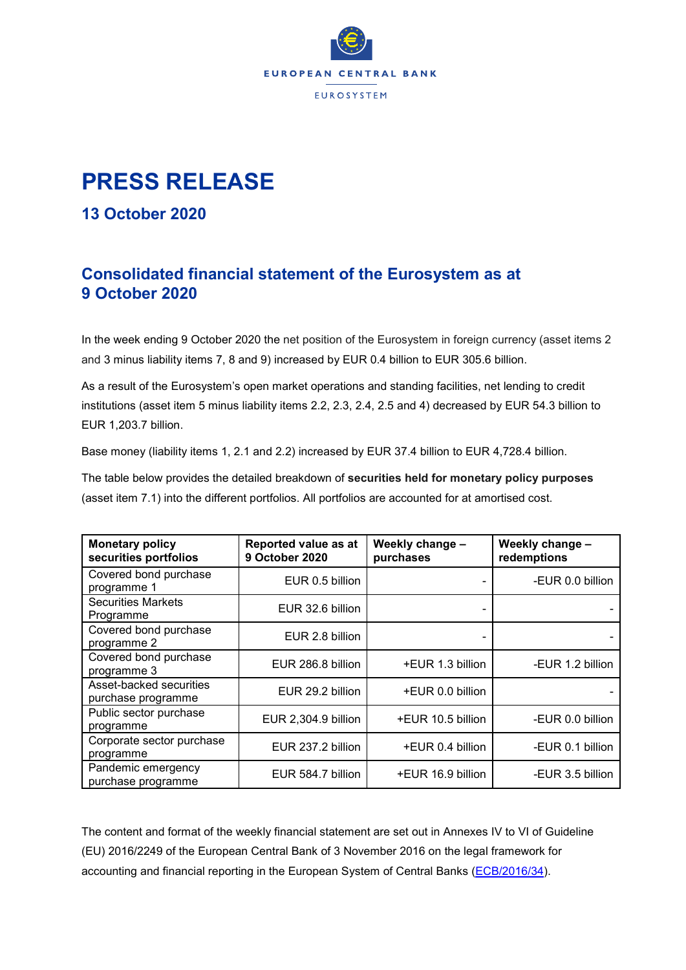

## **PRESS RELEASE**

## **13 October 2020**

## **Consolidated financial statement of the Eurosystem as at 9 October 2020**

In the week ending 9 October 2020 the net position of the Eurosystem in foreign currency (asset items 2 and 3 minus liability items 7, 8 and 9) increased by EUR 0.4 billion to EUR 305.6 billion.

As a result of the Eurosystem's open market operations and standing facilities, net lending to credit institutions (asset item 5 minus liability items 2.2, 2.3, 2.4, 2.5 and 4) decreased by EUR 54.3 billion to EUR 1,203.7 billion.

Base money (liability items 1, 2.1 and 2.2) increased by EUR 37.4 billion to EUR 4,728.4 billion.

The table below provides the detailed breakdown of **securities held for monetary policy purposes** (asset item 7.1) into the different portfolios. All portfolios are accounted for at amortised cost.

| <b>Monetary policy</b><br>securities portfolios | Reported value as at<br><b>9 October 2020</b> | Weekly change -<br>purchases | Weekly change -<br>redemptions |  |
|-------------------------------------------------|-----------------------------------------------|------------------------------|--------------------------------|--|
| Covered bond purchase<br>programme 1            | EUR 0.5 billion                               |                              | -EUR 0.0 billion               |  |
| <b>Securities Markets</b><br>Programme          | EUR 32.6 billion                              |                              |                                |  |
| Covered bond purchase<br>programme 2            | EUR 2.8 billion                               |                              |                                |  |
| Covered bond purchase<br>programme 3            | EUR 286.8 billion                             | +EUR 1.3 billion             | -EUR 1.2 billion               |  |
| Asset-backed securities<br>purchase programme   | EUR 29.2 billion                              | +EUR 0.0 billion             |                                |  |
| Public sector purchase<br>programme             | EUR 2,304.9 billion                           | +EUR 10.5 billion            | -EUR 0.0 billion               |  |
| Corporate sector purchase<br>programme          | EUR 237.2 billion                             | +EUR 0.4 billion             | -EUR 0.1 billion               |  |
| Pandemic emergency<br>purchase programme        | EUR 584.7 billion                             | +EUR 16.9 billion            | -EUR 3.5 billion               |  |

The content and format of the weekly financial statement are set out in Annexes IV to VI of Guideline (EU) 2016/2249 of the European Central Bank of 3 November 2016 on the legal framework for accounting and financial reporting in the European System of Central Banks [\(ECB/2016/34\)](http://www.ecb.europa.eu/ecb/legal/1001/1012/html/index.en.html).